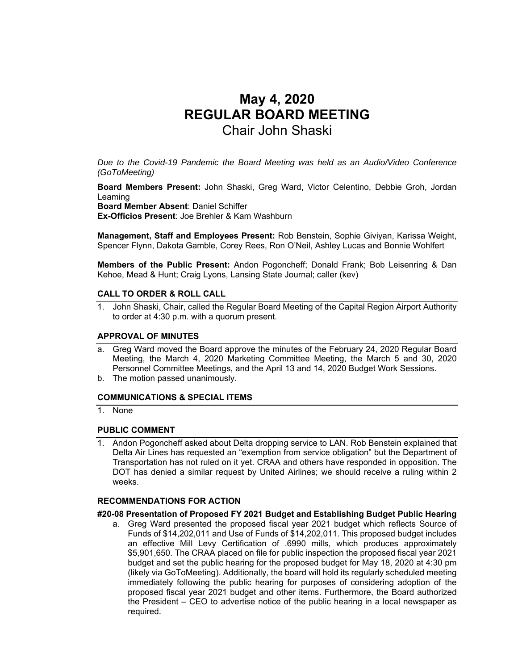# **May 4, 2020 REGULAR BOARD MEETING**  Chair John Shaski

*Due to the Covid-19 Pandemic the Board Meeting was held as an Audio/Video Conference (GoToMeeting)* 

**Board Members Present:** John Shaski, Greg Ward, Victor Celentino, Debbie Groh, Jordan Leaming

**Board Member Absent**: Daniel Schiffer

**Ex-Officios Present**: Joe Brehler & Kam Washburn

**Management, Staff and Employees Present:** Rob Benstein, Sophie Giviyan, Karissa Weight, Spencer Flynn, Dakota Gamble, Corey Rees, Ron O'Neil, Ashley Lucas and Bonnie Wohlfert

**Members of the Public Present:** Andon Pogoncheff; Donald Frank; Bob Leisenring & Dan Kehoe, Mead & Hunt; Craig Lyons, Lansing State Journal; caller (kev)

## **CALL TO ORDER & ROLL CALL**

1. John Shaski, Chair, called the Regular Board Meeting of the Capital Region Airport Authority to order at 4:30 p.m. with a quorum present.

#### **APPROVAL OF MINUTES**

- a. Greg Ward moved the Board approve the minutes of the February 24, 2020 Regular Board Meeting, the March 4, 2020 Marketing Committee Meeting, the March 5 and 30, 2020 Personnel Committee Meetings, and the April 13 and 14, 2020 Budget Work Sessions.
- b. The motion passed unanimously.

### **COMMUNICATIONS & SPECIAL ITEMS**

1. None

#### **PUBLIC COMMENT**

1. Andon Pogoncheff asked about Delta dropping service to LAN. Rob Benstein explained that Delta Air Lines has requested an "exemption from service obligation" but the Department of Transportation has not ruled on it yet. CRAA and others have responded in opposition. The DOT has denied a similar request by United Airlines; we should receive a ruling within 2 weeks.

#### **RECOMMENDATIONS FOR ACTION**

## **#20-08 Presentation of Proposed FY 2021 Budget and Establishing Budget Public Hearing**

a. Greg Ward presented the proposed fiscal year 2021 budget which reflects Source of Funds of \$14,202,011 and Use of Funds of \$14,202,011. This proposed budget includes an effective Mill Levy Certification of .6990 mills, which produces approximately \$5,901,650. The CRAA placed on file for public inspection the proposed fiscal year 2021 budget and set the public hearing for the proposed budget for May 18, 2020 at 4:30 pm (likely via GoToMeeting). Additionally, the board will hold its regularly scheduled meeting immediately following the public hearing for purposes of considering adoption of the proposed fiscal year 2021 budget and other items. Furthermore, the Board authorized the President – CEO to advertise notice of the public hearing in a local newspaper as required.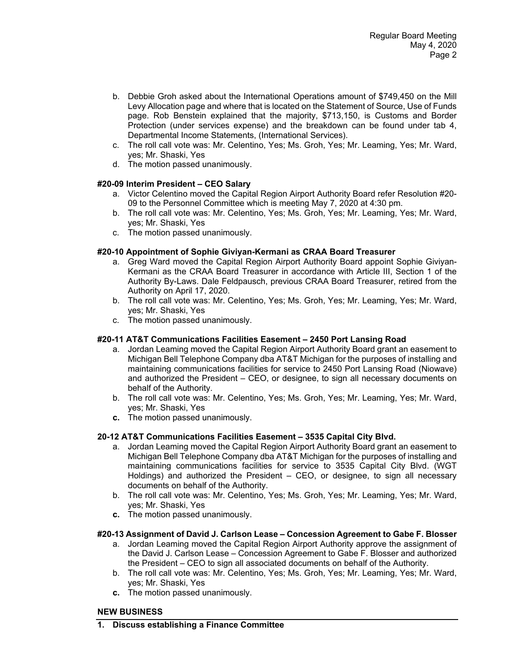- b. Debbie Groh asked about the International Operations amount of \$749,450 on the Mill Levy Allocation page and where that is located on the Statement of Source, Use of Funds page. Rob Benstein explained that the majority, \$713,150, is Customs and Border Protection (under services expense) and the breakdown can be found under tab 4, Departmental Income Statements, (International Services).
- c. The roll call vote was: Mr. Celentino, Yes; Ms. Groh, Yes; Mr. Leaming, Yes; Mr. Ward, yes; Mr. Shaski, Yes
- d. The motion passed unanimously.

# **#20-09 Interim President – CEO Salary**

- a. Victor Celentino moved the Capital Region Airport Authority Board refer Resolution #20- 09 to the Personnel Committee which is meeting May 7, 2020 at 4:30 pm.
- b. The roll call vote was: Mr. Celentino, Yes; Ms. Groh, Yes; Mr. Leaming, Yes; Mr. Ward, yes; Mr. Shaski, Yes
- c. The motion passed unanimously.

## **#20-10 Appointment of Sophie Giviyan-Kermani as CRAA Board Treasurer**

- a. Greg Ward moved the Capital Region Airport Authority Board appoint Sophie Giviyan-Kermani as the CRAA Board Treasurer in accordance with Article III, Section 1 of the Authority By-Laws. Dale Feldpausch, previous CRAA Board Treasurer, retired from the Authority on April 17, 2020.
- b. The roll call vote was: Mr. Celentino, Yes; Ms. Groh, Yes; Mr. Leaming, Yes; Mr. Ward, yes; Mr. Shaski, Yes
- c. The motion passed unanimously.

## **#20-11 AT&T Communications Facilities Easement – 2450 Port Lansing Road**

- a. Jordan Leaming moved the Capital Region Airport Authority Board grant an easement to Michigan Bell Telephone Company dba AT&T Michigan for the purposes of installing and maintaining communications facilities for service to 2450 Port Lansing Road (Niowave) and authorized the President – CEO, or designee, to sign all necessary documents on behalf of the Authority.
- b. The roll call vote was: Mr. Celentino, Yes; Ms. Groh, Yes; Mr. Leaming, Yes; Mr. Ward, yes; Mr. Shaski, Yes
- **c.** The motion passed unanimously.

### **20-12 AT&T Communications Facilities Easement – 3535 Capital City Blvd.**

- a. Jordan Leaming moved the Capital Region Airport Authority Board grant an easement to Michigan Bell Telephone Company dba AT&T Michigan for the purposes of installing and maintaining communications facilities for service to 3535 Capital City Blvd. (WGT Holdings) and authorized the President – CEO, or designee, to sign all necessary documents on behalf of the Authority.
- b. The roll call vote was: Mr. Celentino, Yes; Ms. Groh, Yes; Mr. Leaming, Yes; Mr. Ward, yes; Mr. Shaski, Yes
- **c.** The motion passed unanimously.

### **#20-13 Assignment of David J. Carlson Lease – Concession Agreement to Gabe F. Blosser**

- a. Jordan Leaming moved the Capital Region Airport Authority approve the assignment of the David J. Carlson Lease – Concession Agreement to Gabe F. Blosser and authorized the President – CEO to sign all associated documents on behalf of the Authority.
- b. The roll call vote was: Mr. Celentino, Yes; Ms. Groh, Yes; Mr. Leaming, Yes; Mr. Ward, yes; Mr. Shaski, Yes
- **c.** The motion passed unanimously.

### **NEW BUSINESS**

**1. Discuss establishing a Finance Committee**